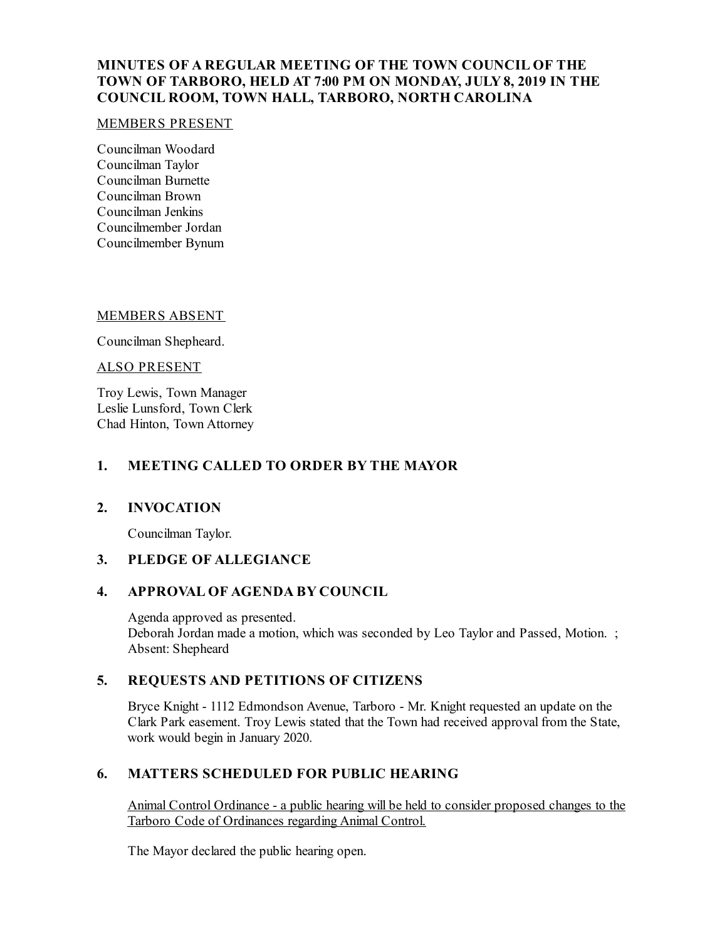# **MINUTES OF A REGULAR MEETING OF THE TOWN COUNCIL OF THE TOWN OF TARBORO, HELD AT 7:00 PM ON MONDAY, JULY8, 2019 IN THE COUNCIL ROOM, TOWN HALL, TARBORO, NORTH CAROLINA**

#### MEMBERS PRESENT

Councilman Woodard Councilman Taylor Councilman Burnette Councilman Brown Councilman Jenkins Councilmember Jordan Councilmember Bynum

#### MEMBERS ABSENT

Councilman Shepheard.

ALSO PRESENT

Troy Lewis, Town Manager Leslie Lunsford, Town Clerk Chad Hinton, Town Attorney

# **1. MEETING CALLED TO ORDER BY THE MAYOR**

## **2. INVOCATION**

Councilman Taylor.

## **3. PLEDGE OF ALLEGIANCE**

## **4. APPROVAL OF AGENDA BY COUNCIL**

Agenda approved as presented. Deborah Jordan made a motion, which was seconded by Leo Taylor and Passed, Motion. ; Absent: Shepheard

# **5. REQUESTS AND PETITIONS OF CITIZENS**

Bryce Knight - 1112 Edmondson Avenue, Tarboro - Mr. Knight requested an update on the Clark Park easement. Troy Lewis stated that the Town had received approval from the State, work would begin in January 2020.

# **6. MATTERS SCHEDULED FOR PUBLIC HEARING**

Animal Control Ordinance - a public hearing will be held to consider proposed changes to the Tarboro Code of Ordinances regarding Animal Control.

The Mayor declared the public hearing open.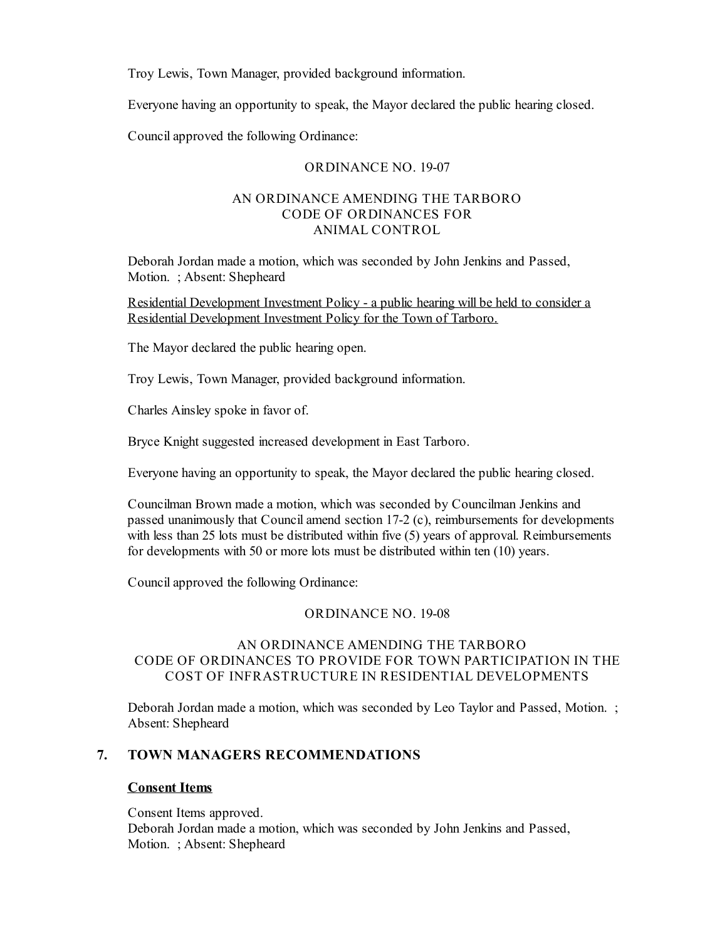Troy Lewis, Town Manager, provided background information.

Everyone having an opportunity to speak, the Mayor declared the public hearing closed.

Councilapproved the following Ordinance:

## ORDINANCE NO. 19-07

## AN ORDINANCE AMENDING THE TARBORO CODE OF ORDINANCES FOR ANIMAL CONTROL

Deborah Jordan made a motion, which was seconded by John Jenkins and Passed, Motion. ; Absent: Shepheard

Residential Development Investment Policy - a public hearing will be held to consider a Residential Development Investment Policy for the Town of Tarboro.

The Mayor declared the public hearing open.

Troy Lewis, Town Manager, provided background information.

Charles Ainsley spoke in favor of.

Bryce Knight suggested increased development in East Tarboro.

Everyone having an opportunity to speak, the Mayor declared the public hearing closed.

Councilman Brown made a motion, which was seconded by Councilman Jenkins and passed unanimously that Councilamend section 17-2 (c), reimbursements for developments with less than 25 lots must be distributed within five (5) years of approval. Reimbursements for developments with 50 or more lots must be distributed within ten (10) years.

Councilapproved the following Ordinance:

### ORDINANCE NO. 19-08

## AN ORDINANCE AMENDING THE TARBORO CODE OF ORDINANCES TO PROVIDE FOR TOWN PARTICIPATION IN THE COST OF INFRASTRUCTURE IN RESIDENTIAL DEVELOPMENTS

Deborah Jordan made a motion, which was seconded by Leo Taylor and Passed, Motion. ; Absent: Shepheard

## **7. TOWN MANAGERS RECOMMENDATIONS**

#### **Consent Items**

Consent Items approved. Deborah Jordan made a motion, which was seconded by John Jenkins and Passed, Motion. ; Absent: Shepheard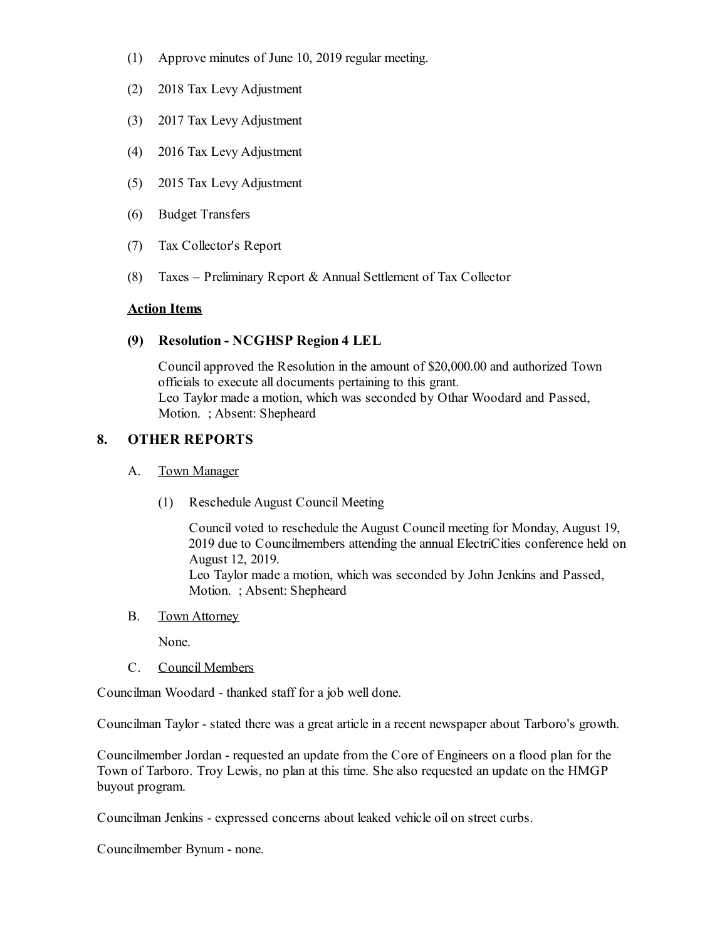- (1) Approve minutes of June 10, 2019 regular meeting.
- (2) 2018 Tax Levy Adjustment
- (3) 2017 Tax Levy Adjustment
- (4) 2016 Tax Levy Adjustment
- (5) 2015 Tax Levy Adjustment
- (6) Budget Transfers
- (7) Tax Collector's Report
- (8) Taxes Preliminary Report & Annual Settlement of Tax Collector

#### **Action Items**

## **(9) Resolution - NCGHSP Region 4 LEL**

Councilapproved the Resolution in the amount of \$20,000.00 and authorized Town officials to execute all documents pertaining to this grant. Leo Taylor made a motion, which was seconded by Othar Woodard and Passed, Motion. ; Absent: Shepheard

## **8. OTHER REPORTS**

#### A. Town Manager

(1) Reschedule August Council Meeting

Council voted to reschedule the August Council meeting for Monday, August 19, 2019 due to Councilmembers attending the annual ElectriCities conference held on August 12, 2019. Leo Taylor made a motion, which was seconded by John Jenkins and Passed, Motion. ; Absent: Shepheard

B. Town Attorney

None.

C. Council Members

Councilman Woodard - thanked staff for a job well done.

Councilman Taylor - stated there was a great article in a recent newspaper about Tarboro's growth.

Councilmember Jordan - requested an update from the Core of Engineers on a flood plan for the Town of Tarboro. Troy Lewis, no plan at this time. She also requested an update on the HMGP buyout program.

Councilman Jenkins - expressed concerns about leaked vehicle oil on street curbs.

Councilmember Bynum - none.